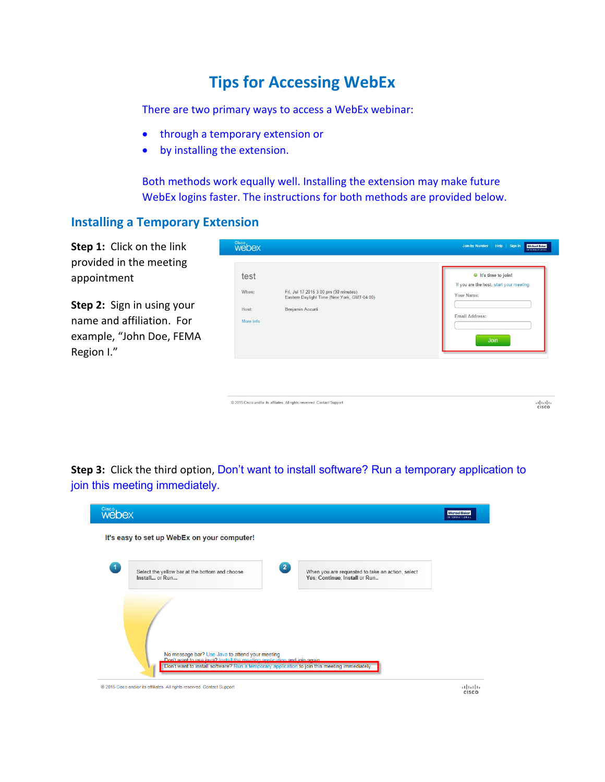# **Tips for Accessing WebEx**

There are two primary ways to access a WebEx webinar:

- through a temporary extension or
- by installing the extension.

Both methods work equally well. Installing the extension may make future WebEx logins faster. The instructions for both methods are provided below.

#### **Installing a Temporary Extension**

**Step 1:** Click on the link provided in the meeting appointment

**Step 2:** Sign in using your name and affiliation. For example, "John Doe, FEMA Region I."

| test      |                                                                                      | $\bullet$ It's time to join!<br>If you are the host, start your meeting. |
|-----------|--------------------------------------------------------------------------------------|--------------------------------------------------------------------------|
| When:     | Fri, Jul 17 2015 3:00 pm (30 minutes)<br>Eastern Daylight Time (New York, GMT-04:00) | Your Name:                                                               |
| Host:     | Benjamin Accurti                                                                     |                                                                          |
| More Info |                                                                                      | <b>Email Address:</b>                                                    |
|           |                                                                                      | Join                                                                     |
|           |                                                                                      |                                                                          |

@ 2015 Cisco and/or its affiliates. All rights reserved. Contact Support

 $\frac{1}{10}$ 

**Step 3:** Click the third option, Don't want to install software? Run a temporary application to join this meeting immediately.

| Cisco,<br>webex      |                                                                                                                                                                                                                              | <b>Michael Baker</b><br><b>INTERNATIONAL</b> |
|----------------------|------------------------------------------------------------------------------------------------------------------------------------------------------------------------------------------------------------------------------|----------------------------------------------|
|                      | It's easy to set up WebEx on your computer!                                                                                                                                                                                  |                                              |
| $\blacktriangleleft$ | $\overline{2}$<br>Select the yellow bar at the bottom and choose<br>When you are requested to take an action, select<br>Install or Run<br>Yes, Continue, Install or Run                                                      |                                              |
|                      |                                                                                                                                                                                                                              |                                              |
|                      | No message bar? Use Java to attend your meeting.<br>Don't want to use java? Install the meeting application and join again.<br>Don't want to install software? Run a temporary application to join this meeting immediately. |                                              |

@ 2015 Cisco and/or its affiliates. All rights reserved. Contact Support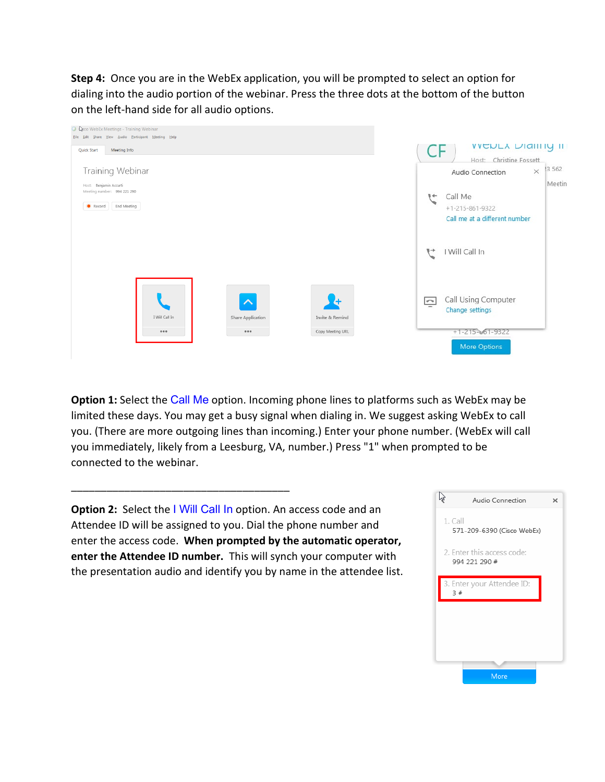**Step 4:** Once you are in the WebEx application, you will be prompted to select an option for dialing into the audio portion of the webinar. Press the three dots at the bottom of the button on the left-hand side for all audio options.



**Option 1:** Select the Call Me option. Incoming phone lines to platforms such as WebEx may be limited these days. You may get a busy signal when dialing in. We suggest asking WebEx to call you. (There are more outgoing lines than incoming.) Enter your phone number. (WebEx will call you immediately, likely from a Leesburg, VA, number.) Press "1" when prompted to be connected to the webinar.

**Option 2:** Select the I Will Call In option. An access code and an Attendee ID will be assigned to you. Dial the phone number and enter the access code. **When prompted by the automatic operator, enter the Attendee ID number.** This will synch your computer with the presentation audio and identify you by name in the attendee list.

\_\_\_\_\_\_\_\_\_\_\_\_\_\_\_\_\_\_\_\_\_\_\_\_\_\_\_\_\_\_\_\_\_\_\_\_\_

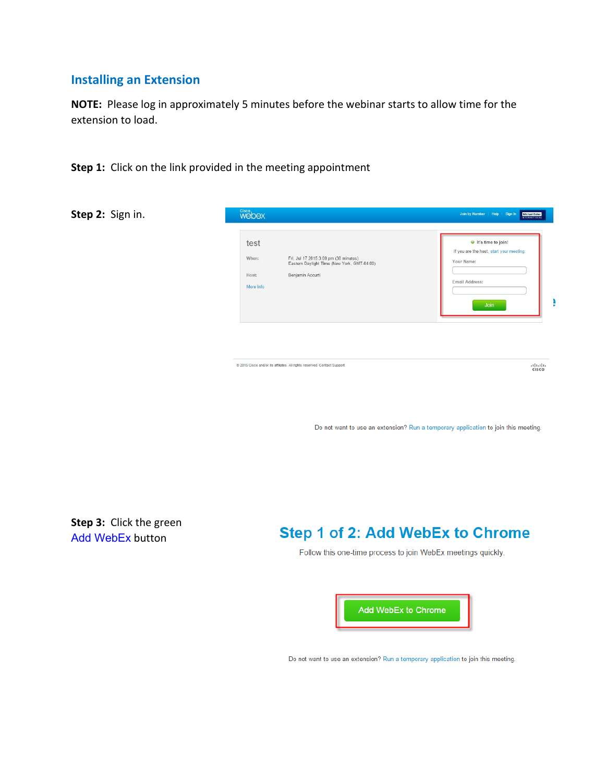### **Installing an Extension**

**NOTE:** Please log in approximately 5 minutes before the webinar starts to allow time for the extension to load.

**Step 1:** Click on the link provided in the meeting appointment

**Step 2:** Sign in.



@ 2015 Cisco and/or its affiliates. All rights reserved. Contact Support

 $\frac{d}{d}$ 

Do not want to use an extension? Run a temporary application to join this meeting.

**Step 3:** Click the green Add WebEx button

## Step 1 of 2: Add WebEx to Chrome

Follow this one-time process to join WebEx meetings quickly.



Do not want to use an extension? Run a temporary application to join this meeting.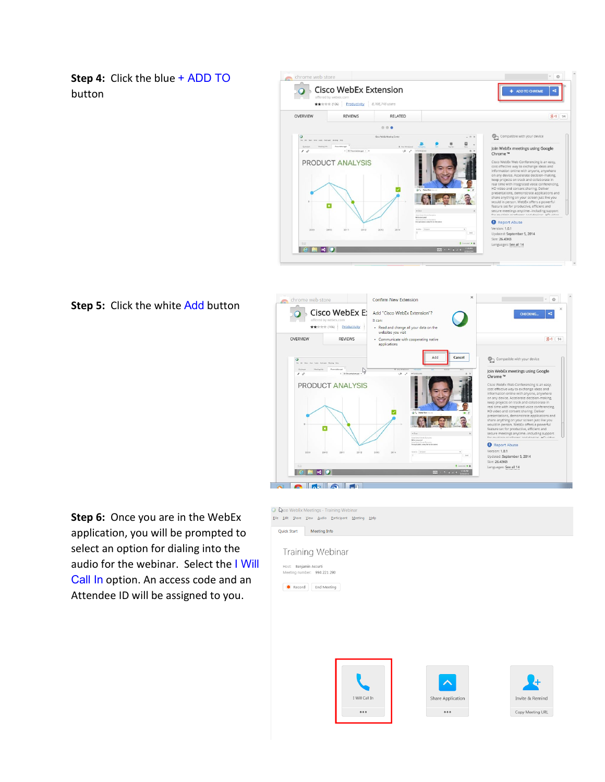**Step 4:** Click the blue + ADD TO button



**Step 5:** Click the white Add button



**Step 6:** Once you are in the WebEx application, you will be prompted to select an option for dialing into the audio for the webinar. Select the I Will Call In option. An access code and an Attendee ID will be assigned to you.



 $\ddot{\phantom{a}}$ 

Copy Meeting URL

...